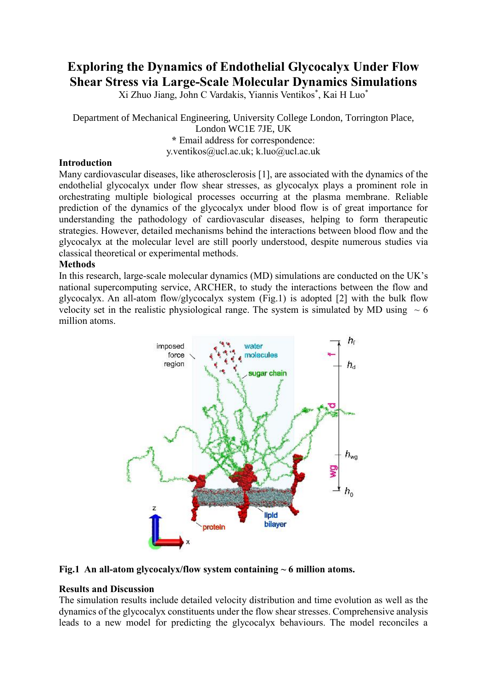# **Exploring the Dynamics of Endothelial Glycocalyx Under Flow Shear Stress via Large-Scale Molecular Dynamics Simulations**

Xi Zhuo Jiang, John C Vardakis, Yiannis Ventikos\* , Kai H Luo\*

Department of Mechanical Engineering, University College London, Torrington Place, London WC1E 7JE, UK **\*** Email address for correspondence: y.ventikos@ucl.ac.uk; k.luo@ucl.ac.uk

### **Introduction**

Many cardiovascular diseases, like atherosclerosis [1], are associated with the dynamics of the endothelial glycocalyx under flow shear stresses, as glycocalyx plays a prominent role in orchestrating multiple biological processes occurring at the plasma membrane. Reliable prediction of the dynamics of the glycocalyx under blood flow is of great importance for understanding the pathodology of cardiovascular diseases, helping to form therapeutic strategies. However, detailed mechanisms behind the interactions between blood flow and the glycocalyx at the molecular level are still poorly understood, despite numerous studies via classical theoretical or experimental methods.

#### **Methods**

In this research, large-scale molecular dynamics (MD) simulations are conducted on the UK's national supercomputing service, ARCHER, to study the interactions between the flow and glycocalyx. An all-atom flow/glycocalyx system (Fig.1) is adopted [2] with the bulk flow velocity set in the realistic physiological range. The system is simulated by MD using  $\sim 6$ million atoms.



#### **Fig.1 An all-atom glycocalyx/flow system containing ~ 6 million atoms.**

#### **Results and Discussion**

The simulation results include detailed velocity distribution and time evolution as well as the dynamics of the glycocalyx constituents under the flow shear stresses. Comprehensive analysis leads to a new model for predicting the glycocalyx behaviours. The model reconciles a